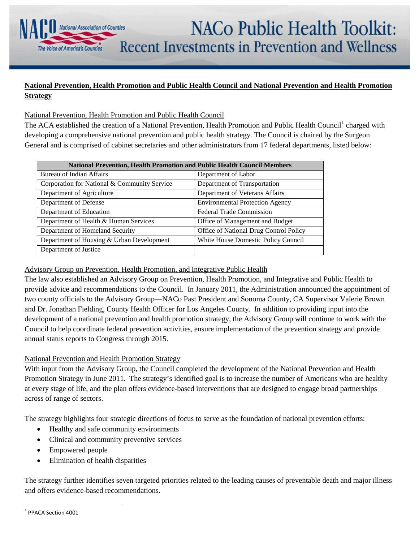## **NACo Public Health Toolkit:** Recent Investments in Prevention and Wellness

## **National Prevention, Health Promotion and Public Health Council and National Prevention and Health Promotion Strategy**

## National Prevention, Health Promotion and Public Health Council

National Association of Counties

The Voice of America's Countie

The ACA established the creation of a National Prevention, Health Promotion and Public Health Council<sup>[1](#page-0-0)</sup> charged with developing a comprehensive national prevention and public health strategy. The Council is chaired by the Surgeon General and is comprised of cabinet secretaries and other administrators from 17 federal departments, listed below:

| <b>National Prevention, Health Promotion and Public Health Council Members</b> |                                        |
|--------------------------------------------------------------------------------|----------------------------------------|
| Bureau of Indian Affairs                                                       | Department of Labor                    |
| Corporation for National & Community Service                                   | Department of Transportation           |
| Department of Agriculture                                                      | Department of Veterans Affairs         |
| Department of Defense                                                          | <b>Environmental Protection Agency</b> |
| Department of Education                                                        | <b>Federal Trade Commission</b>        |
| Department of Health & Human Services                                          | Office of Management and Budget        |
| Department of Homeland Security                                                | Office of National Drug Control Policy |
| Department of Housing & Urban Development                                      | White House Domestic Policy Council    |
| Department of Justice                                                          |                                        |

## Advisory Group on Prevention, Health Promotion, and Integrative Public Health

The law also established an Advisory Group on Prevention, Health Promotion, and Integrative and Public Health to provide advice and recommendations to the Council. In January 2011, the Administration announced the appointment of two county officials to the Advisory Group—NACo Past President and Sonoma County, CA Supervisor Valerie Brown and Dr. Jonathan Fielding, County Health Officer for Los Angeles County. In addition to providing input into the development of a national prevention and health promotion strategy, the Advisory Group will continue to work with the Council to help coordinate federal prevention activities, ensure implementation of the prevention strategy and provide annual status reports to Congress through 2015.

#### National Prevention and Health Promotion Strategy

With input from the Advisory Group, the Council completed the development of the National Prevention and Health Promotion Strategy in June 2011. The strategy's identified goal is to increase the number of Americans who are healthy at every stage of life, and the plan offers evidence-based interventions that are designed to engage broad partnerships across of range of sectors.

The strategy highlights four strategic directions of focus to serve as the foundation of national prevention efforts:

- Healthy and safe community environments
- Clinical and community preventive services
- Empowered people
- Elimination of health disparities

The strategy further identifies seven targeted priorities related to the leading causes of preventable death and major illness and offers evidence-based recommendations.

<span id="page-0-0"></span> <sup>1</sup> PPACA Section 4001